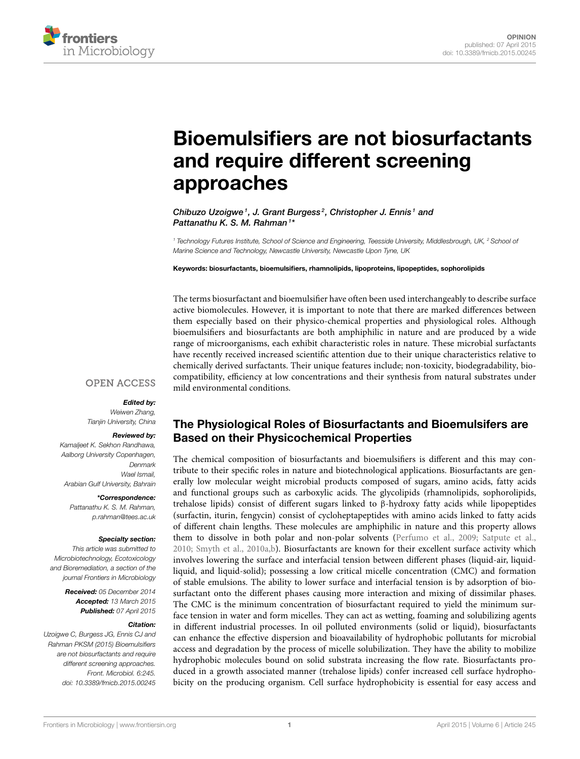

# Bioemulsifiers are not biosurfactants [and require different screening](http://www.frontiersin.org/journal/10.3389/fmicb.2015.00245/abstract) approaches

Chibuzo [Uzoigwe](http://community.frontiersin.org/people/u/223810)<sup>1</sup>, [J. Grant Burgess](http://community.frontiersin.org/people/u/168172)<sup>2</sup>, [Christopher J. Ennis](http://community.frontiersin.org/people/u/122003)<sup>1</sup> and [Pattanathu K. S. M. Rahman](http://community.frontiersin.org/people/u/120035)<sup>1\*</sup>

*<sup>1</sup> Technology Futures Institute, School of Science and Engineering, Teesside University, Middlesbrough, UK, <sup>2</sup> School of Marine Science and Technology, Newcastle University, Newcastle Upon Tyne, UK*

Keywords: biosurfactants, bioemulsifiers, rhamnolipids, lipoproteins, lipopeptides, sophorolipids

The terms biosurfactant and bioemulsifier have often been used interchangeably to describe surface active biomolecules. However, it is important to note that there are marked differences between them especially based on their physico-chemical properties and physiological roles. Although bioemulsifiers and biosurfactants are both amphiphilic in nature and are produced by a wide range of microorganisms, each exhibit characteristic roles in nature. These microbial surfactants have recently received increased scientific attention due to their unique characteristics relative to chemically derived surfactants. Their unique features include; non-toxicity, biodegradability, biocompatibility, efficiency at low concentrations and their synthesis from natural substrates under mild environmental conditions.

## **OPEN ACCESS**

## Edited by:

*Weiwen Zhang, Tianjin University, China*

## Reviewed by:

*Kamaljeet K. Sekhon Randhawa, Aalborg University Copenhagen, Denmark Wael Ismail, Arabian Gulf University, Bahrain*

#### \*Correspondence:

*Pattanathu K. S. M. Rahman, [p.rahman@tees.ac.uk](mailto:p.rahman@tees.ac.uk)*

#### Specialty section:

*This article was submitted to Microbiotechnology, Ecotoxicology and Bioremediation, a section of the journal Frontiers in Microbiology*

> Received: *05 December 2014* Accepted: *13 March 2015* Published: *07 April 2015*

#### Citation:

*Uzoigwe C, Burgess JG, Ennis CJ and Rahman PKSM (2015) Bioemulsifiers are not biosurfactants and require different screening approaches. Front. Microbiol. 6:245. doi: [10.3389/fmicb.2015.00245](http://dx.doi.org/10.3389/fmicb.2015.00245)*

## The Physiological Roles of Biosurfactants and Bioemulsifers are Based on their Physicochemical Properties

The chemical composition of biosurfactants and bioemulsifiers is different and this may contribute to their specific roles in nature and biotechnological applications. Biosurfactants are generally low molecular weight microbial products composed of sugars, amino acids, fatty acids and functional groups such as carboxylic acids. The glycolipids (rhamnolipids, sophorolipids, trehalose lipids) consist of different sugars linked to β-hydroxy fatty acids while lipopeptides (surfactin, iturin, fengycin) consist of cycloheptapeptides with amino acids linked to fatty acids of different chain lengths. These molecules are amphiphilic in nature and this property allows them to dissolve in both polar and non-polar solvents [\(Perfumo et al., 2009;](#page-4-0) [Satpute et al.,](#page-4-1) [2010;](#page-4-1) [Smyth et al., 2010a,](#page-4-2)[b\)](#page-4-3). Biosurfactants are known for their excellent surface activity which involves lowering the surface and interfacial tension between different phases (liquid-air, liquidliquid, and liquid-solid); possessing a low critical micelle concentration (CMC) and formation of stable emulsions. The ability to lower surface and interfacial tension is by adsorption of biosurfactant onto the different phases causing more interaction and mixing of dissimilar phases. The CMC is the minimum concentration of biosurfactant required to yield the minimum surface tension in water and form micelles. They can act as wetting, foaming and solubilizing agents in different industrial processes. In oil polluted environments (solid or liquid), biosurfactants can enhance the effective dispersion and bioavailability of hydrophobic pollutants for microbial access and degradation by the process of micelle solubilization. They have the ability to mobilize hydrophobic molecules bound on solid substrata increasing the flow rate. Biosurfactants produced in a growth associated manner (trehalose lipids) confer increased cell surface hydrophobicity on the producing organism. Cell surface hydrophobicity is essential for easy access and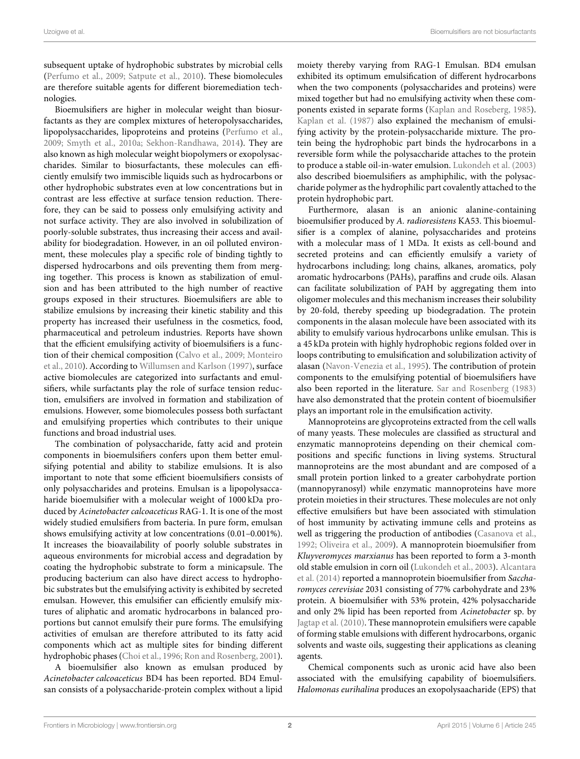subsequent uptake of hydrophobic substrates by microbial cells [\(Perfumo et al., 2009;](#page-4-0) [Satpute et al., 2010\)](#page-4-1). These biomolecules are therefore suitable agents for different bioremediation technologies.

Bioemulsifiers are higher in molecular weight than biosurfactants as they are complex mixtures of heteropolysaccharides, lipopolysaccharides, lipoproteins and proteins [\(Perfumo et al.,](#page-4-0) [2009;](#page-4-0) [Smyth et al., 2010a;](#page-4-2) [Sekhon-Randhawa, 2014\)](#page-4-4). They are also known as high molecular weight biopolymers or exopolysaccharides. Similar to biosurfactants, these molecules can efficiently emulsify two immiscible liquids such as hydrocarbons or other hydrophobic substrates even at low concentrations but in contrast are less effective at surface tension reduction. Therefore, they can be said to possess only emulsifying activity and not surface activity. They are also involved in solubilization of poorly-soluble substrates, thus increasing their access and availability for biodegradation. However, in an oil polluted environment, these molecules play a specific role of binding tightly to dispersed hydrocarbons and oils preventing them from merging together. This process is known as stabilization of emulsion and has been attributed to the high number of reactive groups exposed in their structures. Bioemulsifiers are able to stabilize emulsions by increasing their kinetic stability and this property has increased their usefulness in the cosmetics, food, pharmaceutical and petroleum industries. Reports have shown that the efficient emulsifying activity of bioemulsifiers is a function of their chemical composition [\(Calvo et al., 2009;](#page-4-5) Monteiro et al., [2010\)](#page-4-6). According to [Willumsen and Karlson \(1997\)](#page-5-0), surface active biomolecules are categorized into surfactants and emulsifiers, while surfactants play the role of surface tension reduction, emulsifiers are involved in formation and stabilization of emulsions. However, some biomolecules possess both surfactant and emulsifying properties which contributes to their unique functions and broad industrial uses.

The combination of polysaccharide, fatty acid and protein components in bioemulsifiers confers upon them better emulsifying potential and ability to stabilize emulsions. It is also important to note that some efficient bioemulsifiers consists of only polysaccharides and proteins. Emulsan is a lipopolysaccaharide bioemulsifier with a molecular weight of 1000 kDa produced by Acinetobacter calcoaceticus RAG-1. It is one of the most widely studied emulsifiers from bacteria. In pure form, emulsan shows emulsifying activity at low concentrations (0.01–0.001%). It increases the bioavailability of poorly soluble substrates in aqueous environments for microbial access and degradation by coating the hydrophobic substrate to form a minicapsule. The producing bacterium can also have direct access to hydrophobic substrates but the emulsifying activity is exhibited by secreted emulsan. However, this emulsifier can efficiently emulsify mixtures of aliphatic and aromatic hydrocarbons in balanced proportions but cannot emulsify their pure forms. The emulsifying activities of emulsan are therefore attributed to its fatty acid components which act as multiple sites for binding different hydrophobic phases [\(Choi et al., 1996;](#page-4-7) [Ron and Rosenberg, 2001\)](#page-4-8).

A bioemulsifier also known as emulsan produced by Acinetobacter calcoaceticus BD4 has been reported. BD4 Emulsan consists of a polysaccharide-protein complex without a lipid moiety thereby varying from RAG-1 Emulsan. BD4 emulsan exhibited its optimum emulsification of different hydrocarbons when the two components (polysaccharides and proteins) were mixed together but had no emulsifying activity when these components existed in separate forms [\(Kaplan and Roseberg, 1985\)](#page-4-9). [Kaplan et al. \(1987\)](#page-4-10) also explained the mechanism of emulsifying activity by the protein-polysaccharide mixture. The protein being the hydrophobic part binds the hydrocarbons in a reversible form while the polysaccharide attaches to the protein to produce a stable oil-in-water emulsion. [Lukondeh et al. \(2003\)](#page-4-11) also described bioemulsifiers as amphiphilic, with the polysaccharide polymer as the hydrophilic part covalently attached to the protein hydrophobic part.

Furthermore, alasan is an anionic alanine-containing bioemulsifier produced by A. radioresistens KA53. This bioemulsifier is a complex of alanine, polysaccharides and proteins with a molecular mass of 1 MDa. It exists as cell-bound and secreted proteins and can efficiently emulsify a variety of hydrocarbons including; long chains, alkanes, aromatics, poly aromatic hydrocarbons (PAHs), paraffins and crude oils. Alasan can facilitate solubilization of PAH by aggregating them into oligomer molecules and this mechanism increases their solubility by 20-fold, thereby speeding up biodegradation. The protein components in the alasan molecule have been associated with its ability to emulsify various hydrocarbons unlike emulsan. This is a 45 kDa protein with highly hydrophobic regions folded over in loops contributing to emulsification and solubilization activity of alasan [\(Navon-Venezia et al., 1995\)](#page-4-12). The contribution of protein components to the emulsifying potential of bioemulsifiers have also been reported in the literature. [Sar and Rosenberg \(1983\)](#page-4-13) have also demonstrated that the protein content of bioemulsifier plays an important role in the emulsification activity.

Mannoproteins are glycoproteins extracted from the cell walls of many yeasts. These molecules are classified as structural and enzymatic mannoproteins depending on their chemical compositions and specific functions in living systems. Structural mannoproteins are the most abundant and are composed of a small protein portion linked to a greater carbohydrate portion (mannopyranosyl) while enzymatic mannoproteins have more protein moieties in their structures. These molecules are not only effective emulsifiers but have been associated with stimulation of host immunity by activating immune cells and proteins as well as triggering the production of antibodies [\(Casanova et al.,](#page-4-14) [1992;](#page-4-14) [Oliveira et al., 2009\)](#page-4-15). A mannoprotein bioemulsifier from Kluyveromyces marxianus has been reported to form a 3-month old stable emulsion in corn oil [\(Lukondeh et al., 2003\)](#page-4-11). Alcantara et al. [\(2014\)](#page-4-16) reported a mannoprotein bioemulsifier from Saccharomyces cerevisiae 2031 consisting of 77% carbohydrate and 23% protein. A bioemulsifier with 53% protein, 42% polysaccharide and only 2% lipid has been reported from Acinetobacter sp. by [Jagtap et al. \(2010\)](#page-4-17). These mannoprotein emulsifiers were capable of forming stable emulsions with different hydrocarbons, organic solvents and waste oils, suggesting their applications as cleaning agents.

Chemical components such as uronic acid have also been associated with the emulsifying capability of bioemulsifiers. Halomonas eurihalina produces an exopolysaacharide (EPS) that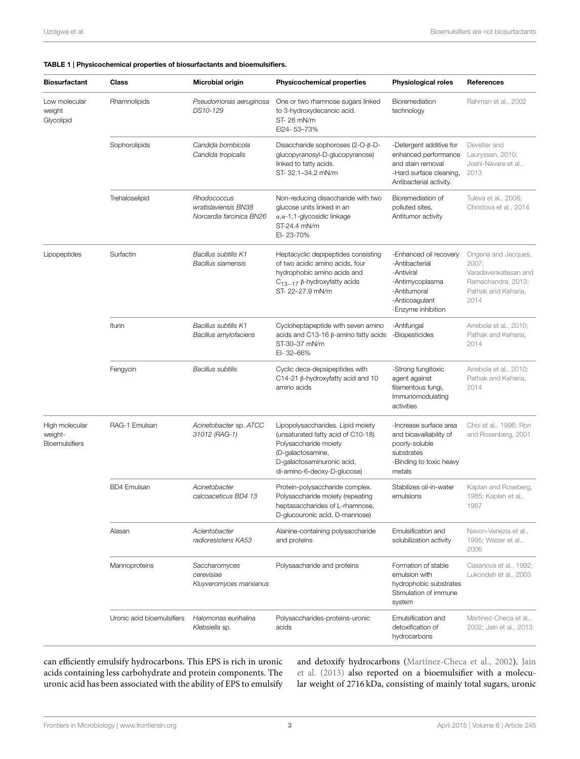| <b>Biosurfactant</b>                               | Class                      | Microbial origin                                                | <b>Physicochemical properties</b>                                                                                                                                                  | <b>Physiological roles</b>                                                                                                        | References                                                                                                |
|----------------------------------------------------|----------------------------|-----------------------------------------------------------------|------------------------------------------------------------------------------------------------------------------------------------------------------------------------------------|-----------------------------------------------------------------------------------------------------------------------------------|-----------------------------------------------------------------------------------------------------------|
| Low molecular<br>weight<br>Glycolipid              | Rhamnolipids               | Pseudomonas aeruginosa<br>DS10-129                              | One or two rhamnose sugars linked<br>to 3-hydroxydecanoic acid.<br>ST- 28 mN/m<br>EI24-53-73%                                                                                      | Bioremediation<br>technology                                                                                                      | Rahman et al., 2002                                                                                       |
|                                                    | Sophorolipids              | Candida bombicola<br>Candida tropicalis                         | Disaccharide sophoroses $(2-O-\beta-D-$<br>glucopyranosyl-D-glucopyranose)<br>linked to fatty acids.<br>ST-32.1-34.2 mN/m                                                          | -Detergent additive for<br>enhanced performance<br>and stain removal<br>-Hard surface cleaning,<br>Antibacterial activity.        | Develter and<br>Lauryssen, 2010;<br>Joshi-Navare et al.,<br>2013                                          |
|                                                    | Trehaloselipid             | Rhodococcus<br>wratislaviensis BN38<br>Norcardia farcinica BN26 | Non-reducing disaccharide with two<br>glucose units linked in an<br>$\alpha, \alpha$ -1,1-glycosidic linkage<br>ST-24.4 mN/m<br>EI-23-70%                                          | Bioremediation of<br>polluted sites,<br>Antitumor activity                                                                        | Tuleva et al., 2008;<br>Christova et al., 2014                                                            |
| Lipopeptides                                       | Surfactin                  | Bacillus subtilis K1<br><b>Bacillus siamensis</b>               | Heptacyclic depipeptides consisting<br>of two acidic amino acids, four<br>hydrophobic amino acids and<br>$C_{13-17}$ $\beta$ -hydroxyfatty acids<br>ST-22-27.9 mN/m                | -Enhanced oil recovery<br>-Antibacterial<br>-Antiviral<br>-Antimycoplasma<br>-Antitumoral<br>-Anticoagulant<br>-Enzyme inhibition | Ongena and Jacques,<br>2007;<br>Varadavenkatesan and<br>Ramachandra, 2013;<br>Pathak and Keharia,<br>2014 |
|                                                    | Iturin                     | Bacillus subtilis K1<br>Bacillus amylofaciens                   | Cycloheptapeptide with seven amino<br>acids and C13-16 $\beta$ -amino fatty acids<br>ST-30-37 mN/m<br>EI-32-66%                                                                    | -Antifungal<br>-Biopesticides                                                                                                     | Arrebola et al., 2010;<br>Pathak and Keharia,<br>2014                                                     |
|                                                    | Fengycin                   | <b>Bacillus subtilis</b>                                        | Cyclic deca-depsipeptides with<br>C14-21 $\beta$ -hydroxyfatty acid and 10<br>amino acids                                                                                          | -Strong fungitoxic<br>agent against<br>filamentous fungi,<br>Immunomodulating<br>activities                                       | Arrebola et al., 2010;<br>Pathak and Keharia,<br>2014                                                     |
| High molecular<br>weight-<br><b>Bioemulsifiers</b> | RAG-1 Emulsan              | Acinetobacter sp. ATCC<br>31012 (RAG-1)                         | Lipopolysaccharides. Lipid moiety<br>(unsaturated fatty acid of C10-18)<br>Polysaccharide moiety<br>(D-galactosamine,<br>D-galactosaminuronic acid,<br>di-amino-6-deoxy-D-glucose) | -Increase surface area<br>and bioavailiability of<br>poorly-soluble<br>substrates<br>-Binding to toxic heavy<br>metals            | Choi et al., 1996; Ron<br>and Rosenberg, 2001                                                             |
|                                                    | <b>BD4 Emulsan</b>         | Acinetobacter<br>calcoaceticus BD4 13                           | Protein-polysaccharide complex.<br>Polysaccharide moiety (repeating<br>heptasaccharides of L-rhamnose,<br>D-glucouronic acid, D-mannose)                                           | Stabilizes oil-in-water<br>emulsions                                                                                              | Kaplan and Roseberg,<br>1985; Kaplan et al.,<br>1987                                                      |
|                                                    | Alasan                     | Acientobacter<br>radioresistens KA53                            | Alanine-containing polysaccharide<br>and proteins                                                                                                                                  | Emulsification and<br>solubilization activity                                                                                     | Navon-Venezia et al.,<br>1995; Walzer et al.,<br>2006                                                     |
|                                                    | Mannoproteins              | Saccharomyces<br>cerevisiae<br>Kluyveromyces marxianus          | Polysaacharide and proteins                                                                                                                                                        | Formation of stable<br>emulsion with<br>hydrophobic substrates<br>Stimulation of immune<br>system                                 | Casanova et al., 1992;<br>Lukondeh et al., 2003                                                           |
|                                                    | Uronic acid bioemulsifiers | Halomonas eurihalina<br>Klebsiella sp.                          | Polysaccharides-proteins-uronic<br>acids                                                                                                                                           | Emulsification and<br>detoxification of<br>hydrocarbons                                                                           | Martínez-Checa et al.,<br>2002; Jain et al., 2013                                                         |

#### <span id="page-2-0"></span>TABLE 1 | Physicochemical properties of biosurfactants and bioemulsifiers.

can efficiently emulsify hydrocarbons. This EPS is rich in uronic acids containing less carbohydrate and protein components. The uronic acid has been associated with the ability of EPS to emulsify and detoxify hydrocarbons [\(Martínez-Checa et al., 2002\)](#page-4-25). Jain et al. [\(2013\)](#page-4-26) also reported on a bioemulsifier with a molecular weight of 2716 kDa, consisting of mainly total sugars, uronic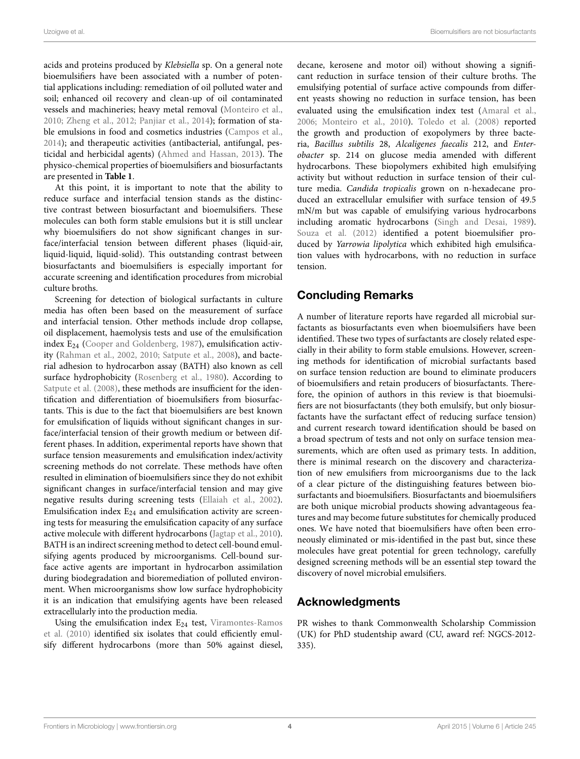acids and proteins produced by Klebsiella sp. On a general note bioemulsifiers have been associated with a number of potential applications including: remediation of oil polluted water and soil; enhanced oil recovery and clean-up of oil contaminated vessels and machineries; heavy metal removal [\(Monteiro et al.,](#page-4-6) [2010;](#page-4-6) [Zheng et al., 2012;](#page-5-4) [Panjiar et al., 2014\)](#page-4-27); formation of stable emulsions in food and cosmetics industries [\(Campos et al.,](#page-4-28) [2014\)](#page-4-28); and therapeutic activities (antibacterial, antifungal, pesticidal and herbicidal agents) [\(Ahmed and Hassan, 2013\)](#page-4-29). The physico-chemical properties of bioemulsifiers and biosurfactants are presented in **[Table 1](#page-2-0)**.

At this point, it is important to note that the ability to reduce surface and interfacial tension stands as the distinctive contrast between biosurfactant and bioemulsifiers. These molecules can both form stable emulsions but it is still unclear why bioemulsifiers do not show significant changes in surface/interfacial tension between different phases (liquid-air, liquid-liquid, liquid-solid). This outstanding contrast between biosurfactants and bioemulsifiers is especially important for accurate screening and identification procedures from microbial culture broths.

Screening for detection of biological surfactants in culture media has often been based on the measurement of surface and interfacial tension. Other methods include drop collapse, oil displacement, haemolysis tests and use of the emulsification index  $E_{24}$  [\(Cooper and Goldenberg, 1987\)](#page-4-30), emulsification activity [\(Rahman et al., 2002,](#page-4-18) [2010;](#page-4-31) [Satpute et al., 2008\)](#page-4-32), and bacterial adhesion to hydrocarbon assay (BATH) also known as cell surface hydrophobicity [\(Rosenberg et al., 1980\)](#page-4-33). According to [Satpute et al. \(2008\)](#page-4-32), these methods are insufficient for the identification and differentiation of bioemulsifiers from biosurfactants. This is due to the fact that bioemulsifiers are best known for emulsification of liquids without significant changes in surface/interfacial tension of their growth medium or between different phases. In addition, experimental reports have shown that surface tension measurements and emulsification index/activity screening methods do not correlate. These methods have often resulted in elimination of bioemulsifiers since they do not exhibit significant changes in surface/interfacial tension and may give negative results during screening tests [\(Ellaiah et al., 2002\)](#page-4-34). Emulsification index  $E_{24}$  and emulsification activity are screening tests for measuring the emulsification capacity of any surface active molecule with different hydrocarbons [\(Jagtap et al., 2010\)](#page-4-17). BATH is an indirect screening method to detect cell-bound emulsifying agents produced by microorganisms. Cell-bound surface active agents are important in hydrocarbon assimilation during biodegradation and bioremediation of polluted environment. When microorganisms show low surface hydrophobicity it is an indication that emulsifying agents have been released extracellularly into the production media.

Using the emulsification index  $E_{24}$  test, Viramontes-Ramos et al. [\(2010\)](#page-5-5) identified six isolates that could efficiently emulsify different hydrocarbons (more than 50% against diesel,

decane, kerosene and motor oil) without showing a significant reduction in surface tension of their culture broths. The emulsifying potential of surface active compounds from different yeasts showing no reduction in surface tension, has been evaluated using the emulsification index test [\(Amaral et al.,](#page-4-35) [2006;](#page-4-35) [Monteiro et al., 2010\)](#page-4-6). [Toledo et al. \(2008\)](#page-4-36) reported the growth and production of exopolymers by three bacteria, Bacillus subtilis 28, Alcaligenes faecalis 212, and Enterobacter sp. 214 on glucose media amended with different hydrocarbons. These biopolymers exhibited high emulsifying activity but without reduction in surface tension of their culture media. Candida tropicalis grown on n-hexadecane produced an extracellular emulsifier with surface tension of 49.5 mN/m but was capable of emulsifying various hydrocarbons including aromatic hydrocarbons [\(Singh and Desai, 1989\)](#page-4-37). [Souza et al. \(2012\)](#page-4-38) identified a potent bioemulsifier produced by Yarrowia lipolytica which exhibited high emulsification values with hydrocarbons, with no reduction in surface tension.

# Concluding Remarks

A number of literature reports have regarded all microbial surfactants as biosurfactants even when bioemulsifiers have been identified. These two types of surfactants are closely related especially in their ability to form stable emulsions. However, screening methods for identification of microbial surfactants based on surface tension reduction are bound to eliminate producers of bioemulsifiers and retain producers of biosurfactants. Therefore, the opinion of authors in this review is that bioemulsifiers are not biosurfactants (they both emulsify, but only biosurfactants have the surfactant effect of reducing surface tension) and current research toward identification should be based on a broad spectrum of tests and not only on surface tension measurements, which are often used as primary tests. In addition, there is minimal research on the discovery and characterization of new emulsifiers from microorganisms due to the lack of a clear picture of the distinguishing features between biosurfactants and bioemulsifiers. Biosurfactants and bioemulsifiers are both unique microbial products showing advantageous features and may become future substitutes for chemically produced ones. We have noted that bioemulsifiers have often been erroneously eliminated or mis-identified in the past but, since these molecules have great potential for green technology, carefully designed screening methods will be an essential step toward the discovery of novel microbial emulsifiers.

## Acknowledgments

PR wishes to thank Commonwealth Scholarship Commission (UK) for PhD studentship award (CU, award ref: NGCS-2012- 335).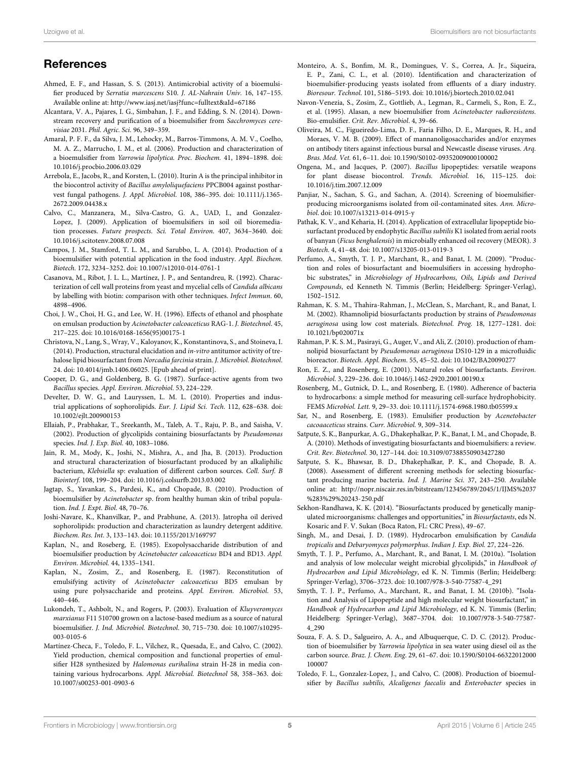# **References**

- <span id="page-4-29"></span>Ahmed, E. F., and Hassan, S. S. (2013). Antimicrobial activity of a bioemulsifier produced by Serratia marcescens S10. J. AL-Nahrain Univ. 16, 147–155. Available online at:<http://www.iasj.net/iasj?func=fulltext&aId=67186>
- <span id="page-4-16"></span>Alcantara, V. A., Pajares, I. G., Simbahan, J. F., and Edding, S. N. (2014). Downstream recovery and purification of a bioemulsifier from Sacchromyces cerevisiae 2031. Phil. Agric. Sci. 96, 349–359.
- <span id="page-4-35"></span>Amaral, P. F. F., da Silva, J. M., Lehocky, M., Barros-Timmons, A. M. V., Coelho, M. A. Z., Marrucho, I. M., et al. (2006). Production and characterization of a bioemulsifier from Yarrowia lipolytica. Proc. Biochem. 41, 1894–1898. doi: 10.1016/j.procbio.2006.03.029
- <span id="page-4-24"></span>Arrebola, E., Jacobs, R., and Korsten, L. (2010). Iturin A is the principal inhibitor in the biocontrol activity of Bacillus amyloliquefaciens PPCB004 against postharvest fungal pathogens. J. Appl. Microbiol. 108, 386–395. doi: 10.1111/j.1365- 2672.2009.04438.x
- <span id="page-4-5"></span>Calvo, C., Manzanera, M., Silva-Castro, G. A., UAD, I., and Gonzalez-Lopez, J. (2009). Application of bioemulsifiers in soil oil bioremediation processes. Future prospects. Sci. Total Environ. 407, 3634–3640. doi: 10.1016/j.scitotenv.2008.07.008
- <span id="page-4-28"></span>Campos, J. M., Stamford, T. L. M., and Sarubbo, L. A. (2014). Production of a bioemulsifier with potential application in the food industry. Appl. Biochem. Biotech. 172, 3234–3252. doi: 10.1007/s12010-014-0761-1
- <span id="page-4-14"></span>Casanova, M., Ribot, J. L. L., Martínez, J. P., and Sentandreu, R. (1992). Characterization of cell wall proteins from yeast and mycelial cells of Candida albicans by labelling with biotin: comparison with other techniques. Infect Immun. 60, 4898–4906.
- <span id="page-4-7"></span>Choi, J. W., Choi, H. G., and Lee, W. H. (1996). Effects of ethanol and phosphate on emulsan production by Acinetobacter calcoaceticus RAG-1. J. Biotechnol. 45, 217–225. doi: 10.1016/0168-1656(95)00175-1
- <span id="page-4-21"></span>Christova, N., Lang, S., Wray, V., Kaloyanov, K., Konstantinova, S., and Stoineva, I. (2014). Production, structural elucidation and in-vitro antitumor activity of trehalose lipid biosurfactant from Norcadia farcinia strain. J. Microbiol. Biotechnol. 24. doi: 10.4014/jmb.1406.06025. [Epub ahead of print].
- <span id="page-4-30"></span>Cooper, D. G., and Goldenberg, B. G. (1987). Surface-active agents from two Bacillus species. Appl. Environ. Microbiol. 53, 224–229.
- <span id="page-4-19"></span>Develter, D. W. G., and Lauryssen, L. M. L. (2010). Properties and industrial applications of sophorolipids. Eur. J. Lipid Sci. Tech. 112, 628–638. doi: 10.1002/ejlt.200900153
- <span id="page-4-34"></span>Ellaiah, P., Prabhakar, T., Sreekanth, M., Taleb, A. T., Raju, P. B., and Saisha, V. (2002). Production of glycolipids containing biosurfactants by Pseudomonas species. Ind. J. Exp. Biol. 40, 1083–1086.
- <span id="page-4-26"></span>Jain, R. M., Mody, K., Joshi, N., Mishra, A., and Jha, B. (2013). Production and structural characterization of biosurfactant produced by an alkaliphilic bacterium, Klebsiella sp: evaluation of different carbon sources. Coll. Surf. B Biointerf. 108, 199–204. doi: 10.1016/j.colsurfb.2013.03.002
- <span id="page-4-17"></span>Jagtap, S., Yavankar, S., Pardesi, K., and Chopade, B. (2010). Production of bioemulsifier by Acinetobacter sp. from healthy human skin of tribal population. Ind. J. Expt. Biol. 48, 70–76.
- <span id="page-4-20"></span>Joshi-Navare, K., Khanvilkar, P., and Prabhune, A. (2013). Jatropha oil derived sophorolipids: production and characterization as laundry detergent additive. Biochem. Res. Int. 3, 133–143. doi: 10.1155/2013/169797
- <span id="page-4-9"></span>Kaplan, N., and Roseberg, E. (1985). Exopolysaccharide distribution of and bioemulsifier production by Acinetobacter calcoaceticus BD4 and BD13. Appl. Environ. Microbiol. 44, 1335–1341.
- <span id="page-4-10"></span>Kaplan, N., Zosim, Z., and Rosenberg, E. (1987). Reconstitution of emulsifying activity of Acinetobacter calcoaceticus BD5 emulsan by using pure polysaccharide and proteins. Appl. Environ. Microbiol. 53, 440–446.
- <span id="page-4-11"></span>Lukondeh, T., Ashbolt, N., and Rogers, P. (2003). Evaluation of Kluyveromyces marxianus F11 510700 grown on a lactose-based medium as a source of natural bioemulsifier. J. Ind. Microbiol. Biotechnol. 30, 715–730. doi: 10.1007/s10295- 003-0105-6
- <span id="page-4-25"></span>Martínez-Checa, F., Toledo, F. L., Vilchez, R., Quesada, E., and Calvo, C. (2002). Yield production, chemical composition and functional properties of emulsifier H28 synthesized by Halomonas eurihalina strain H-28 in media containing various hydrocarbons. Appl. Microbial. Biotechnol 58, 358–363. doi: 10.1007/s00253-001-0903-6
- <span id="page-4-6"></span>Monteiro, A. S., Bonfim, M. R., Domingues, V. S., Correa, A. Jr., Siqueira, E. P., Zani, C. L., et al. (2010). Identification and characterization of bioemulsifier-producing yeasts isolated from effluents of a diary industry. Bioresour. Technol. 101, 5186–5193. doi: 10.1016/j.biortech.2010.02.041
- <span id="page-4-12"></span>Navon-Venezia, S., Zosim, Z., Gottlieb, A., Legman, R., Carmeli, S., Ron, E. Z., et al. (1995). Alasan, a new bioemulsifier from Acinetobacter radioresistens. Bio-emulsifier. Crit. Rev. Microbiol. 4, 39–66.
- <span id="page-4-15"></span>Oliveira, M. C., Figueiredo-Lima, D. F., Faria Filho, D. E., Marques, R. H., and Moraes, V. M. B. (2009). Effect of mannanoligosaccharides and/or enzymes on antibody titers against infectious bursal and Newcastle disease viruses. Arq. Bras. Med. Vet. 61, 6–11. doi: 10.1590/S0102-09352009000100002
- <span id="page-4-22"></span>Ongena, M., and Jacques, P. (2007). Bacillus lipopeptides: versatile weapons for plant disease biocontrol. Trends. Microbiol. 16, 115–125. doi: 10.1016/j.tim.2007.12.009
- <span id="page-4-27"></span>Panjiar, N., Sachan, S. G., and Sachan, A. (2014). Screening of bioemulsifierproducing microorganisms isolated from oil-contaminated sites. Ann. Microbiol. doi: 10.1007/s13213-014-0915-y
- <span id="page-4-23"></span>Pathak, K. V., and Keharia, H. (2014). Application of extracellular lipopeptide biosurfactant produced by endophytic Bacillus subtilis K1 isolated from aerial roots of banyan (Ficus benghalensis) in microbially enhanced oil recovery (MEOR). 3 Biotech. 4, 41–48. doi: 10.1007/s13205-013-0119-3
- <span id="page-4-0"></span>Perfumo, A., Smyth, T. J. P., Marchant, R., and Banat, I. M. (2009). "Production and roles of biosurfactant and bioemulsifiers in accessing hydrophobic substrates," in Microbiology of Hydrocarbons, Oils, Lipids and Derived Compounds, ed Kenneth N. Timmis (Berlin; Heidelberg: Springer-Verlag), 1502–1512.
- <span id="page-4-18"></span>Rahman, K. S. M., Thahira-Rahman, J., McClean, S., Marchant, R., and Banat, I. M. (2002). Rhamnolipid biosurfactants production by strains of Pseudomonas aeruginosa using low cost materials. Biotechnol. Prog. 18, 1277–1281. doi: 10.1021/bp020071x
- <span id="page-4-31"></span>Rahman, P. K. S. M., Pasirayi, G., Auger, V., and Ali, Z. (2010). production of rhamnolipid biosurfactant by Pseudomonas aeruginosa DS10-129 in a microfluidic bioreactor. Biotech. Appl. Biochem. 55, 45–52. doi: 10.1042/BA20090277
- <span id="page-4-8"></span>Ron, E. Z., and Rosenberg, E. (2001). Natural roles of biosurfactants. Environ. Microbiol. 3, 229–236. doi: 10.1046/j.1462-2920.2001.00190.x
- <span id="page-4-33"></span>Rosenberg, M., Gutnick, D. L., and Rosenberg, E. (1980). Adherence of bacteria to hydrocarbons: a simple method for measuring cell-surface hydrophobicity. FEMS Microbiol. Lett. 9, 29–33. doi: 10.1111/j.1574-6968.1980.tb05599.x
- <span id="page-4-13"></span>Sar, N., and Rosenberg, E. (1983). Emulsifier production by Acenetobacter cacoaaceticus strains. Curr. Microbiol. 9, 309–314.
- <span id="page-4-1"></span>Satpute, S. K., Banpurkar, A. G., Dhakephalkar, P. K., Banat, I. M., and Chopade, B. A. (2010). Methods of investigating biosurfactants and bioemulsifiers: a review. Crit. Rev. Biotechnol. 30, 127–144. doi: 10.3109/07388550903427280
- <span id="page-4-32"></span>Satpute, S. K., Bhawsar, B. D., Dhakephalkar, P. K., and Chopade, B. A. (2008). Assessment of different screening methods for selecting biosurfactant producing marine bacteria. Ind. J. Marine Sci. 37, 243-250. Available online at: [http://nopr.niscair.res.in/bitstream/123456789/2045/1/IJMS%2037](http://nopr.niscair.res.in/bitstream/123456789/2045/1/IJMS%2037%283%29%20243-250.pdf) [%283%29%20243-250.pdf](http://nopr.niscair.res.in/bitstream/123456789/2045/1/IJMS%2037%283%29%20243-250.pdf)
- <span id="page-4-4"></span>Sekhon-Randhawa, K. K. (2014). "Biosurfactants produced by genetically manipulated microorganisms: challenges and opportunities," in Biosurfactants, eds N. Kosaric and F. V. Sukan (Boca Raton, FL: CRC Press), 49–67.
- <span id="page-4-37"></span>Singh, M., and Desai, J. D. (1989). Hydrocarbon emulsification by Candida tropicalis and Debaryomyces polymorphus. Indian J. Exp. Biol. 27, 224–226.
- <span id="page-4-2"></span>Smyth, T. J. P., Perfumo, A., Marchant, R., and Banat, I. M. (2010a). "Isolation and analysis of low molecular weight microbial glycolipids," in Handbook of Hydrocarbon and Lipid Microbiology, ed K. N. Timmis (Berlin; Heidelberg: Springer-Verlag), 3706–3723. doi: 10.1007/978-3-540-77587-4\_291
- <span id="page-4-3"></span>Smyth, T. J. P., Perfumo, A., Marchant, R., and Banat, I. M. (2010b). "Isolation and Analysis of Lipopeptide and high molecular weight biosurfactant," in Handbook of Hydrocarbon and Lipid Microbiology, ed K. N. Timmis (Berlin; Heidelberg: Springer-Verlag), 3687–3704. doi: 10.1007/978-3-540-77587- 4\_290
- <span id="page-4-38"></span>Souza, F. A. S. D., Salgueiro, A. A., and Albuquerque, C. D. C. (2012). Production of bioemulsifier by Yarrowia lipolytica in sea water using diesel oil as the carbon source. Braz. J. Chem. Eng. 29, 61–67. doi: 10.1590/S0104-66322012000 100007
- <span id="page-4-36"></span>Toledo, F. L., Gonzalez-Lopez, J., and Calvo, C. (2008). Production of bioemulsifier by Bacillus subtilis, Alcaligenes faecalis and Enterobacter species in